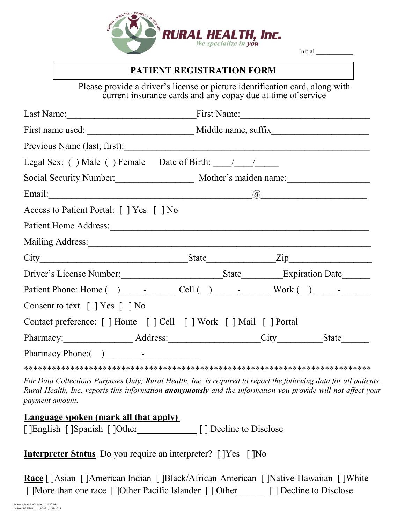

Initial \_\_\_\_\_\_\_\_\_\_\_

### **PATIENT REGISTRATION FORM**

Please provide a driver's license or picture identification card, along with current insurance cards and any copay due at time of service

|                                                                                                                                                                                                                                | First Name:                                   |  |  |  |
|--------------------------------------------------------------------------------------------------------------------------------------------------------------------------------------------------------------------------------|-----------------------------------------------|--|--|--|
|                                                                                                                                                                                                                                |                                               |  |  |  |
| Previous Name (last, first):                                                                                                                                                                                                   |                                               |  |  |  |
| Legal Sex: () Male () Female Date of Birth: $\frac{1}{\sqrt{2}}$                                                                                                                                                               |                                               |  |  |  |
|                                                                                                                                                                                                                                | Social Security Number: Mother's maiden name: |  |  |  |
|                                                                                                                                                                                                                                |                                               |  |  |  |
| Access to Patient Portal: [ ] Yes [ ] No                                                                                                                                                                                       |                                               |  |  |  |
| Patient Home Address: 1988 and 1988 and 1988 and 1988 and 1988 and 1988 and 1988 and 1988 and 1988 and 1988 and 1988 and 1988 and 1988 and 1988 and 1988 and 1988 and 1988 and 1988 and 1988 and 1988 and 1988 and 1988 and 19 |                                               |  |  |  |
|                                                                                                                                                                                                                                |                                               |  |  |  |
|                                                                                                                                                                                                                                | $City$ $City$ $State$ $Zip$                   |  |  |  |
|                                                                                                                                                                                                                                |                                               |  |  |  |
|                                                                                                                                                                                                                                |                                               |  |  |  |
| Consent to text [ ] Yes [ ] No                                                                                                                                                                                                 |                                               |  |  |  |
| Contact preference: [ ] Home [ ] Cell [ ] Work [ ] Mail [ ] Portal                                                                                                                                                             |                                               |  |  |  |
|                                                                                                                                                                                                                                | Pharmacy: Address: City State                 |  |  |  |
|                                                                                                                                                                                                                                |                                               |  |  |  |

\*\*\*\*\*\*\*\*\*\*\*\*\*\*\*\*\*\*\*\*\*\*\*\*\*\*\*\*\*\*\*\*\*\*\*\*\*\*\*\*\*\*\*\*\*\*\*\*\*\*\*\*\*\*\*\*\*\*\*\*\*\*\*\*\*\*\*\*\*\*\*\*\*\*\*

*For Data Collections Purposes Only; Rural Health, Inc. is required to report the following data for all patients. Rural Health, Inc. reports this information anonymously and the information you provide will not affect your payment amount.*

### **Language spoken (mark all that apply)**

[ ]English [ ]Spanish [ ]Other [ ] Decline to Disclose

**Interpreter Status** Do you require an interpreter? [ ]Yes [ ]No

**Race** [ ]Asian [ ]American Indian [ ]Black/African-American [ ]Native-Hawaiian [ ]White [ ]More than one race [ ]Other Pacific Islander [ ] Other [ ] Decline to Disclose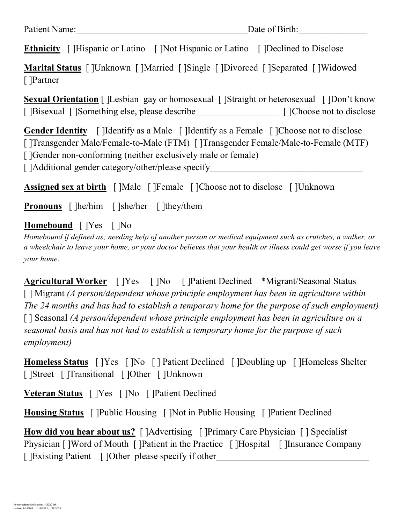**Ethnicity** [ ]Hispanic or Latino [ ]Not Hispanic or Latino [ ]Declined to Disclose

**Marital Status** [ ]Unknown [ ]Married [ ]Single [ ]Divorced [ ]Separated [ ]Widowed [ ]Partner

**Sexual Orientation** [ ]Lesbian gay or homosexual [ ]Straight or heterosexual [ ]Don't know [ ]Bisexual [ ]Something else, please describe \_\_\_\_\_\_\_\_\_\_\_\_\_\_\_\_ [ ]Choose not to disclose

**Gender Identity** [ ]Identify as a Male [ ]Identify as a Female [ ]Choose not to disclose [ ]Transgender Male/Female-to-Male (FTM) [ ]Transgender Female/Male-to-Female (MTF) [ ]Gender non-conforming (neither exclusively male or female)

[ ]Additional gender category/other/please specify

**Assigned sex at birth** [ ]Male [ ]Female [ ]Choose not to disclose [ ]Unknown

**Pronouns** [ ]he/him [ ]she/her [ ]they/them

## **Homebound** [ ]Yes [ ]No

*Homebound if defined as; needing help of another person or medical equipment such as crutches, a walker, or a wheelchair to leave your home, or your doctor believes that your health or illness could get worse if you leave your home.*

**Agricultural Worker** [ ]Yes [ ]No [ ]Patient Declined \*Migrant/Seasonal Status [ ] Migrant *(A person/dependent whose principle employment has been in agriculture within The 24 months and has had to establish a temporary home for the purpose of such employment)* [ ] Seasonal *(A person/dependent whose principle employment has been in agriculture on a seasonal basis and has not had to establish a temporary home for the purpose of such employment)*

**Homeless Status** [ ]Yes [ ]No [ ] Patient Declined [ ]Doubling up [ ]Homeless Shelter [ ]Street [ ]Transitional [ ]Other [ ]Unknown

**Veteran Status** [ ]Yes [ ]No [ ]Patient Declined

**Housing Status** [ ]Public Housing [ ]Not in Public Housing [ ]Patient Declined

**How did you hear about us?** [ ]Advertising [ ]Primary Care Physician [ ] Specialist Physician [ ]Word of Mouth [ ]Patient in the Practice [ ]Hospital [ ]Insurance Company [ ]Existing Patient [ ]Other please specify if other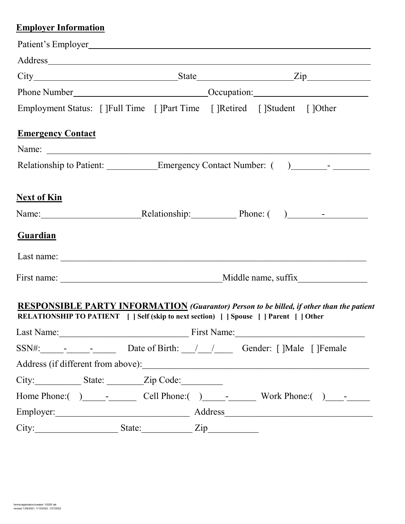# **Employer Information**

|                          | Employment Status: [ ]Full Time [ ]Part Time [ ]Retired [ ]Student [ ]Other     |             |                                                                                                 |
|--------------------------|---------------------------------------------------------------------------------|-------------|-------------------------------------------------------------------------------------------------|
| <b>Emergency Contact</b> |                                                                                 |             |                                                                                                 |
|                          |                                                                                 |             |                                                                                                 |
|                          |                                                                                 |             | Relationship to Patient: _______________Emergency Contact Number: () ____________               |
| <b>Next of Kin</b>       |                                                                                 |             |                                                                                                 |
|                          |                                                                                 |             | Name: Relationship: Phone: ()                                                                   |
| <b>Guardian</b>          |                                                                                 |             |                                                                                                 |
|                          |                                                                                 |             |                                                                                                 |
|                          |                                                                                 |             |                                                                                                 |
|                          | RELATIONSHIP TO PATIENT   Self (skip to next section)   Spouse   Parent   Other |             | <b>RESPONSIBLE PARTY INFORMATION</b> (Guarantor) Person to be billed, if other than the patient |
| Last Name:               |                                                                                 | First Name: |                                                                                                 |
|                          | SSN#: - - - - - Date of Birth: / / / Gender: []Male []Female                    |             |                                                                                                 |
|                          |                                                                                 |             |                                                                                                 |
|                          | City: State: Zip Code:                                                          |             |                                                                                                 |
|                          |                                                                                 |             |                                                                                                 |
|                          |                                                                                 |             |                                                                                                 |
| City:                    | State: $\angle Zip$                                                             |             |                                                                                                 |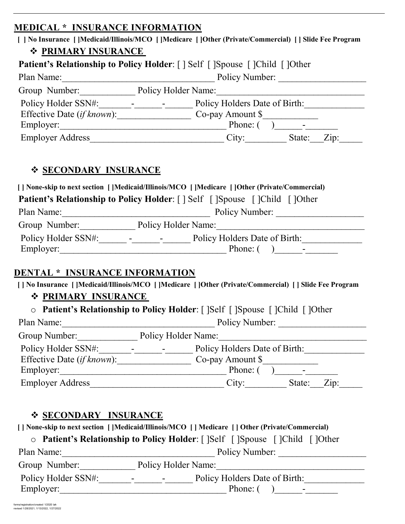### **MEDICAL \* INSURANCE INFORMATION**

| [ ] No Insurance [ ]Medicaid/Illinois/MCO [ ]Medicare [ ]Other (Private/Commercial) [ ] Slide Fee Program |  |  |  |  |
|-----------------------------------------------------------------------------------------------------------|--|--|--|--|
| ❖ PRIMARY INSURANCE                                                                                       |  |  |  |  |
| <b>Patient's Relationship to Policy Holder:</b> [] Self [] Spouse [] Child [] Other                       |  |  |  |  |
| Policy Number:<br>Plan Name:                                                                              |  |  |  |  |
| Group Number: Policy Holder Name:                                                                         |  |  |  |  |
| Policy Holders Date of Birth:<br>and the state of the state of                                            |  |  |  |  |
| Effective Date (if known):<br>Co-pay Amount \$                                                            |  |  |  |  |
| Employer:<br>Phone: (                                                                                     |  |  |  |  |
| <b>Employer Address</b><br>City:<br>State:<br>Zip:                                                        |  |  |  |  |
|                                                                                                           |  |  |  |  |

## **SECONDARY INSURANCE**

| [] None-skip to next section [] Medicaid/Illinois/MCO [] Medicare [] Other (Private/Commercial) |                                                                                  |  |  |  |
|-------------------------------------------------------------------------------------------------|----------------------------------------------------------------------------------|--|--|--|
| <b>Patient's Relationship to Policy Holder:</b> [ ] Self [ ]Spouse [ ]Child [ ]Other            |                                                                                  |  |  |  |
| Plan Name:                                                                                      | Policy Number:                                                                   |  |  |  |
| Group Number:<br>Policy Holder Name:                                                            |                                                                                  |  |  |  |
| Policy Holder SSN#:<br>Employer:                                                                | Policy Holders Date of Birth:<br><b>Service Contract</b><br>۰.<br>Phone: $( )$ - |  |  |  |

### **DENTAL \* INSURANCE INFORMATION**

 **[ ] No Insurance [ ]Medicaid/Illinois/MCO [ ]Medicare [ ]Other (Private/Commercial) [ ] Slide Fee Program**

## **PRIMARY INSURANCE**

| ○ Patient's Relationship to Policy Holder: [ ]Self [ ]Spouse [ ]Child [ ]Other |  |
|--------------------------------------------------------------------------------|--|
|--------------------------------------------------------------------------------|--|

| Plan Name:                         | Policy Number:                        |  |  |  |
|------------------------------------|---------------------------------------|--|--|--|
| Group Number:                      | Policy Holder Name:                   |  |  |  |
| Policy Holder SSN#:                | Policy Holders Date of Birth:         |  |  |  |
| Effective Date <i>(if known)</i> : | Co-pay Amount \$                      |  |  |  |
| Employer:                          | Phone: (                              |  |  |  |
| <b>Employer Address</b>            | $\overline{Z}$ ip:<br>City:<br>State: |  |  |  |

## **SECONDARY INSURANCE**

 **[ ] None-skip to next section [ ]Medicaid/Illinois/MCO [ ] Medicare [ ] Other (Private/Commercial)** 

| ○ Patient's Relationship to Policy Holder: [ ]Self [ ]Spouse [ ]Child [ ]Other |  |  |  |
|--------------------------------------------------------------------------------|--|--|--|
|                                                                                |  |  |  |

| Plan Name:          | Policy Number:                                            |  |  |
|---------------------|-----------------------------------------------------------|--|--|
| Group Number:       | Policy Holder Name:                                       |  |  |
| Policy Holder SSN#: | Policy Holders Date of Birth:<br>$\blacksquare$<br>$\sim$ |  |  |
| Employer:           | Phone: (<br>$\,$ $\,$                                     |  |  |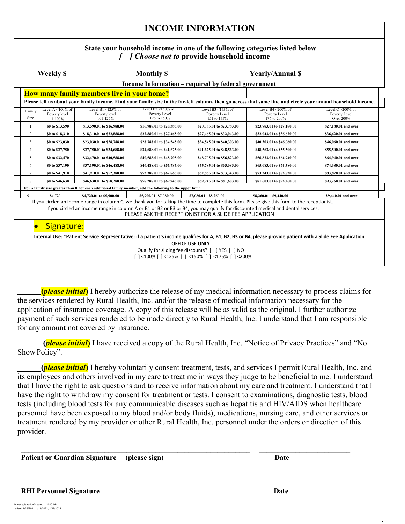## **INCOME INFORMATION**

#### **State your household income in one of the following categories listed below**  *[ ] Choose not to* **provide household income**

|                                                                                                                                                                                                                                            | Weekly \$                                             | <b>Monthly \$</b>                                                                                         |                                                                   |                                                      | <b>Yearly/Annual \$</b>                                 |                                                                                                                                                               |
|--------------------------------------------------------------------------------------------------------------------------------------------------------------------------------------------------------------------------------------------|-------------------------------------------------------|-----------------------------------------------------------------------------------------------------------|-------------------------------------------------------------------|------------------------------------------------------|---------------------------------------------------------|---------------------------------------------------------------------------------------------------------------------------------------------------------------|
|                                                                                                                                                                                                                                            |                                                       |                                                                                                           | <u><b>Income Information – required by federal government</b></u> |                                                      |                                                         |                                                                                                                                                               |
|                                                                                                                                                                                                                                            |                                                       | How many family members live in your home?                                                                |                                                                   |                                                      |                                                         |                                                                                                                                                               |
|                                                                                                                                                                                                                                            |                                                       |                                                                                                           |                                                                   |                                                      |                                                         | Please tell us about your family income. Find your family size in the far-left column, then go across that same line and circle your annual household income. |
| Family<br>Size                                                                                                                                                                                                                             | Level A $\leq$ 100% of<br>Poverty level<br>$1 - 100%$ | Level B1 $\leq$ 125% of<br>Poverty level<br>101-125%                                                      | Level B2 $\leq$ 150% of<br>Poverty Level<br>126 to 150%           | Level B $3$ <175% of<br>Poverty Level<br>151 to 175% | Level B4 $\leq$ 200% of<br>Poverty Level<br>176 to 200% | Level $C > 200\%$ of<br>Poverty Level<br>Over 200%                                                                                                            |
|                                                                                                                                                                                                                                            | \$0 to \$13,590                                       | \$13,590.01 to \$16,988.00                                                                                | \$16,988.01 to \$20,385.00                                        | \$20,385.01 to \$23,783.00                           | \$23,783.01 to \$27,180.00                              | \$27,180.01 and over                                                                                                                                          |
| 2                                                                                                                                                                                                                                          | \$0 to \$18,310                                       | \$18,310.01 to \$22,888.00                                                                                | \$22,880.01 to \$27,465.00                                        | \$27,465.01 to \$32,043.00                           | \$32,043.01 to \$36,620.00                              | \$36,620.01 and over                                                                                                                                          |
| 3                                                                                                                                                                                                                                          | \$0 to \$23,030                                       | \$23,030.01 to \$28,788.00                                                                                | \$28,788.01 to \$34,545.00                                        | \$34,545.01 to \$40,303.00                           | \$40,303.01 to \$46,060.00                              | \$46,060.01 and over                                                                                                                                          |
| $\overline{4}$                                                                                                                                                                                                                             | \$0 to \$27,750                                       | \$27,750.01 to \$34,688.00                                                                                | \$34,688.01 to \$41,625.00                                        | \$41,625.01 to \$48,563.00                           | \$48,563.01 to \$55,500.00                              | \$55,500.01 and over                                                                                                                                          |
| 5                                                                                                                                                                                                                                          | \$0 to \$32,470                                       | \$32,470.01 to \$40,588.00                                                                                | \$40,588.01 to \$48,705.00                                        | \$48,705.01 to \$56,823.00                           | \$56,823.01 to \$64,940.00                              | \$64,940.01 and over                                                                                                                                          |
| 6                                                                                                                                                                                                                                          | \$0 to \$37,190                                       | \$37,190.01 to \$46,488.00                                                                                | \$46,488.01 to \$55,785.00                                        | \$55,785.01 to \$65,083.00                           | \$65,083.01 to \$74,380.00                              | \$74,380.01 and over                                                                                                                                          |
| $\overline{7}$                                                                                                                                                                                                                             | \$0 to \$41.910                                       | \$41,910.01 to \$52,388.00                                                                                | \$52,388.01 to \$62,865.00                                        | \$62,865.01 to \$73,343.00                           | \$73,343.01 to \$83,820.00                              | \$83,820.01 and over                                                                                                                                          |
| 8                                                                                                                                                                                                                                          | \$0 to \$46,630                                       | \$46,630.01 to \$58,288.00                                                                                | \$58,288.01 to \$69,945.00                                        | \$69,945.01 to \$81,603.00                           | \$81,603.01 to \$93,260.00<br>\$93,260.01 and over      |                                                                                                                                                               |
|                                                                                                                                                                                                                                            |                                                       | For a family size greater than 8, for each additional family member, add the following to the upper limit |                                                                   |                                                      |                                                         |                                                                                                                                                               |
| $9+$                                                                                                                                                                                                                                       | <b>S4.720</b>                                         | \$4,720.01 to \$5,900.00                                                                                  | \$5,900.01-\$7,080.00                                             | \$7,080.01 - \$8,260.00                              | \$8,260.01 - \$9,440.00                                 | \$9,440.01 and over                                                                                                                                           |
| If you circled an income range in column C, we thank you for taking the time to complete this form. Please give this form to the receptionist.                                                                                             |                                                       |                                                                                                           |                                                                   |                                                      |                                                         |                                                                                                                                                               |
| If you circled an income range in column A or B1 or B2 or B3 or B4, you may qualify for discounted medical and dental services.<br>PLEASE ASK THE RECEPTIONIST FOR A SLIDE FEE APPLICATION                                                 |                                                       |                                                                                                           |                                                                   |                                                      |                                                         |                                                                                                                                                               |
| Signature:<br>$\bullet$                                                                                                                                                                                                                    |                                                       |                                                                                                           |                                                                   |                                                      |                                                         |                                                                                                                                                               |
| Internal Use: *Patient Service Representative: if a patient's income qualifies for A, B1, B2, B3 or B4, please provide patient with a Slide Fee Application<br><b>OFFICE USE ONLY</b><br>Qualify for sliding fee discounts? [ ] YES [ ] NO |                                                       |                                                                                                           |                                                                   |                                                      |                                                         |                                                                                                                                                               |
| [ $ $ <100% [ $ $ <125% [ $ $ <150% [ $ $ <175% [ $ $ <200%                                                                                                                                                                                |                                                       |                                                                                                           |                                                                   |                                                      |                                                         |                                                                                                                                                               |

 **(***please initial***)** I hereby authorize the release of my medical information necessary to process claims for the services rendered by Rural Health, Inc. and/or the release of medical information necessary for the application of insurance coverage. A copy of this release will be as valid as the original. I further authorize payment of such services rendered to be made directly to Rural Health, Inc. I understand that I am responsible for any amount not covered by insurance.

 **(***please initial***)** I have received a copy of the Rural Health, Inc. "Notice of Privacy Practices" and "No ShowPolicy".

 **(***please initial***)** I hereby voluntarily consent treatment, tests, and services I permit Rural Health, Inc. and its employees and others involved in my care to treat me in ways they judge to be beneficial to me. I understand that I have the right to ask questions and to receive information about my care and treatment. I understand that I have the right to withdraw my consent for treatment or tests. I consent to examinations, diagnostic tests, blood tests (including blood tests for any communicable diseases such as hepatitis and HIV/AIDS when healthcare personnel have been exposed to my blood and/or body fluids), medications, nursing care, and other services or treatment rendered by my provider or other Rural Health, Inc. personnel under the orders or direction of this provider.

 $\mathcal{L}_\text{max}$  , and the contribution of the contribution of the contribution of the contribution of the contribution of the contribution of the contribution of the contribution of the contribution of the contribution of t

 $\mathcal{L}_\text{max}$  , and the contribution of the contribution of the contribution of the contribution of the contribution of the contribution of the contribution of the contribution of the contribution of the contribution of t

**Patient or Guardian Signature (please sign) Date Constant Constant Constant Constant Constant Constant Constant Constant Constant Constant Constant Constant Constant Constant Constant Constant Constant Constant Constant C** 

#### **RHI Personnel Signature Date** Date Date Date Date